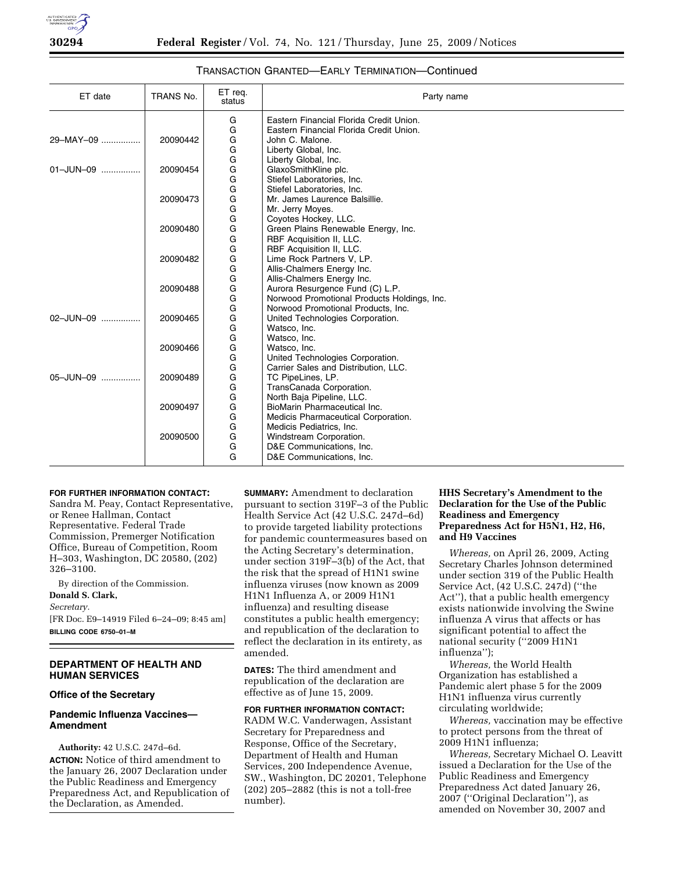

# TRANSACTION GRANTED—EARLY TERMINATION—Continued

| ET date        | TRANS No. | ET reg.<br>status | Party name                                               |
|----------------|-----------|-------------------|----------------------------------------------------------|
|                |           | G                 | Eastern Financial Florida Credit Union.                  |
|                |           | G                 | Eastern Financial Florida Credit Union.                  |
| 29-MAY-09      | 20090442  | G                 | John C. Malone.                                          |
|                |           | G                 | Liberty Global, Inc.                                     |
|                |           | G                 | Liberty Global, Inc.                                     |
| 01-JUN-09      | 20090454  | G                 | GlaxoSmithKline plc.                                     |
|                |           | G                 | Stiefel Laboratories, Inc.                               |
|                |           | G                 | Stiefel Laboratories, Inc.                               |
|                | 20090473  | G                 | Mr. James Laurence Balsillie.                            |
|                |           | G                 | Mr. Jerry Moyes.                                         |
|                |           | G                 | Coyotes Hockey, LLC.                                     |
|                | 20090480  | G                 | Green Plains Renewable Energy, Inc.                      |
|                |           | G                 | RBF Acquisition II, LLC.                                 |
|                |           | G                 | RBF Acquisition II, LLC.                                 |
|                | 20090482  | G<br>G            | Lime Rock Partners V, LP.                                |
|                |           | G                 | Allis-Chalmers Energy Inc.<br>Allis-Chalmers Energy Inc. |
|                | 20090488  | G                 | Aurora Resurgence Fund (C) L.P.                          |
|                |           |                   | Norwood Promotional Products Holdings, Inc.              |
|                |           | G<br>G            | Norwood Promotional Products, Inc.                       |
| 02-JUN-09<br>. | 20090465  | G                 | United Technologies Corporation.                         |
|                |           | G                 | Watsco, Inc.                                             |
|                |           | G                 | Watsco, Inc.                                             |
|                | 20090466  | G                 | Watsco, Inc.                                             |
|                |           | G                 | United Technologies Corporation.                         |
|                |           | G                 | Carrier Sales and Distribution, LLC.                     |
| 05-JUN-09<br>. | 20090489  | G                 | TC PipeLines, LP.                                        |
|                |           | G                 | TransCanada Corporation.                                 |
|                |           | G                 | North Baja Pipeline, LLC.                                |
|                | 20090497  | G                 | BioMarin Pharmaceutical Inc.                             |
|                |           | G                 | Medicis Pharmaceutical Corporation.                      |
|                |           | G                 | Medicis Pediatrics, Inc.                                 |
|                | 20090500  | G                 | Windstream Corporation.                                  |
|                |           | G                 | D&E Communications, Inc.                                 |
|                |           | G                 | D&E Communications, Inc.                                 |

#### **FOR FURTHER INFORMATION CONTACT:**

Sandra M. Peay, Contact Representative, or Renee Hallman, Contact Representative. Federal Trade Commission, Premerger Notification Office, Bureau of Competition, Room H–303, Washington, DC 20580, (202) 326–3100.

By direction of the Commission. **Donald S. Clark,**  *Secretary.*  [FR Doc. E9–14919 Filed 6–24–09; 8:45 am]

**BILLING CODE 6750–01–M** 

# **DEPARTMENT OF HEALTH AND HUMAN SERVICES**

#### **Office of the Secretary**

# **Pandemic Influenza Vaccines— Amendment**

**Authority:** 42 U.S.C. 247d–6d. **ACTION:** Notice of third amendment to the January 26, 2007 Declaration under the Public Readiness and Emergency Preparedness Act, and Republication of the Declaration, as Amended.

**SUMMARY:** Amendment to declaration pursuant to section 319F–3 of the Public Health Service Act (42 U.S.C. 247d–6d) to provide targeted liability protections for pandemic countermeasures based on the Acting Secretary's determination, under section 319F–3(b) of the Act, that the risk that the spread of H1N1 swine influenza viruses (now known as 2009 H1N1 Influenza A, or 2009 H1N1 influenza) and resulting disease constitutes a public health emergency; and republication of the declaration to reflect the declaration in its entirety, as amended.

**DATES:** The third amendment and republication of the declaration are effective as of June 15, 2009.

**FOR FURTHER INFORMATION CONTACT:**  RADM W.C. Vanderwagen, Assistant Secretary for Preparedness and Response, Office of the Secretary, Department of Health and Human Services, 200 Independence Avenue, SW., Washington, DC 20201, Telephone (202) 205–2882 (this is not a toll-free number).

# **HHS Secretary's Amendment to the Declaration for the Use of the Public Readiness and Emergency Preparedness Act for H5N1, H2, H6, and H9 Vaccines**

*Whereas,* on April 26, 2009, Acting Secretary Charles Johnson determined under section 319 of the Public Health Service Act, (42 U.S.C. 247d) (''the Act''), that a public health emergency exists nationwide involving the Swine influenza A virus that affects or has significant potential to affect the national security (''2009 H1N1 influenza'');

*Whereas,* the World Health Organization has established a Pandemic alert phase 5 for the 2009 H1N1 influenza virus currently circulating worldwide;

*Whereas,* vaccination may be effective to protect persons from the threat of 2009 H1N1 influenza;

*Whereas,* Secretary Michael O. Leavitt issued a Declaration for the Use of the Public Readiness and Emergency Preparedness Act dated January 26, 2007 (''Original Declaration''), as amended on November 30, 2007 and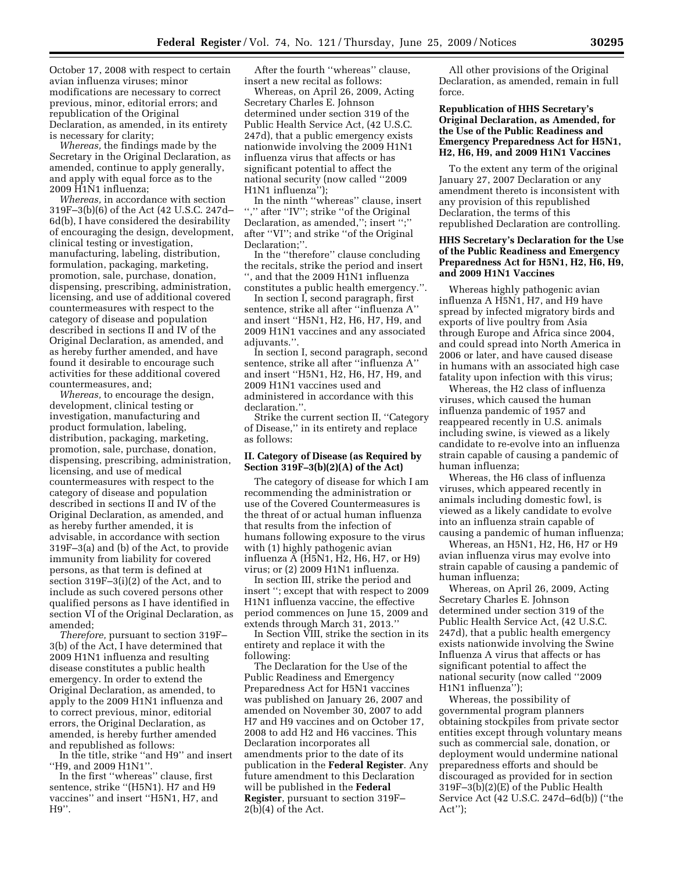October 17, 2008 with respect to certain avian influenza viruses; minor modifications are necessary to correct previous, minor, editorial errors; and republication of the Original Declaration, as amended, in its entirety is necessary for clarity;

*Whereas,* the findings made by the Secretary in the Original Declaration, as amended, continue to apply generally, and apply with equal force as to the 2009 H1N1 influenza;

*Whereas,* in accordance with section 319F–3(b)(6) of the Act (42 U.S.C. 247d– 6d(b), I have considered the desirability of encouraging the design, development, clinical testing or investigation, manufacturing, labeling, distribution, formulation, packaging, marketing, promotion, sale, purchase, donation, dispensing, prescribing, administration, licensing, and use of additional covered countermeasures with respect to the category of disease and population described in sections II and IV of the Original Declaration, as amended, and as hereby further amended, and have found it desirable to encourage such activities for these additional covered countermeasures, and;

*Whereas,* to encourage the design, development, clinical testing or investigation, manufacturing and product formulation, labeling, distribution, packaging, marketing, promotion, sale, purchase, donation, dispensing, prescribing, administration, licensing, and use of medical countermeasures with respect to the category of disease and population described in sections II and IV of the Original Declaration, as amended, and as hereby further amended, it is advisable, in accordance with section 319F–3(a) and (b) of the Act, to provide immunity from liability for covered persons, as that term is defined at section 319F–3(i)(2) of the Act, and to include as such covered persons other qualified persons as I have identified in section VI of the Original Declaration, as amended;

*Therefore,* pursuant to section 319F– 3(b) of the Act, I have determined that 2009 H1N1 influenza and resulting disease constitutes a public health emergency. In order to extend the Original Declaration, as amended, to apply to the 2009 H1N1 influenza and to correct previous, minor, editorial errors, the Original Declaration, as amended, is hereby further amended and republished as follows:

In the title, strike ''and H9'' and insert ''H9, and 2009 H1N1''.

In the first ''whereas'' clause, first sentence, strike "(H5N1). H7 and H9 vaccines'' and insert ''H5N1, H7, and H9''.

After the fourth ''whereas'' clause, insert a new recital as follows:

Whereas, on April 26, 2009, Acting Secretary Charles E. Johnson determined under section 319 of the Public Health Service Act, (42 U.S.C. 247d), that a public emergency exists nationwide involving the 2009 H1N1 influenza virus that affects or has significant potential to affect the national security (now called ''2009 H1N1 influenza'');

In the ninth ''whereas'' clause, insert "," after "IV"; strike "of the Original Declaration, as amended,''; insert '';'' after ''VI''; and strike ''of the Original Declaration;''.

In the ''therefore'' clause concluding the recitals, strike the period and insert '', and that the 2009 H1N1 influenza constitutes a public health emergency.''.

In section I, second paragraph, first sentence, strike all after ''influenza A'' and insert ''H5N1, H2, H6, H7, H9, and 2009 H1N1 vaccines and any associated adjuvants.'

In section I, second paragraph, second sentence, strike all after ''influenza A'' and insert ''H5N1, H2, H6, H7, H9, and 2009 H1N1 vaccines used and administered in accordance with this declaration.''.

Strike the current section II, ''Category of Disease,'' in its entirety and replace as follows:

## **II. Category of Disease (as Required by Section 319F–3(b)(2)(A) of the Act)**

The category of disease for which I am recommending the administration or use of the Covered Countermeasures is the threat of or actual human influenza that results from the infection of humans following exposure to the virus with (1) highly pathogenic avian influenza A (H5N1, H2, H6, H7, or H9) virus; or (2) 2009 H1N1 influenza.

In section III, strike the period and insert ''; except that with respect to 2009 H1N1 influenza vaccine, the effective period commences on June 15, 2009 and extends through March 31, 2013.''

In Section VIII, strike the section in its entirety and replace it with the following:

The Declaration for the Use of the Public Readiness and Emergency Preparedness Act for H5N1 vaccines was published on January 26, 2007 and amended on November 30, 2007 to add H7 and H9 vaccines and on October 17, 2008 to add H2 and H6 vaccines. This Declaration incorporates all amendments prior to the date of its publication in the **Federal Register**. Any future amendment to this Declaration will be published in the **Federal Register**, pursuant to section 319F–  $2(b)(4)$  of the Act.

All other provisions of the Original Declaration, as amended, remain in full force.

## **Republication of HHS Secretary's Original Declaration, as Amended, for the Use of the Public Readiness and Emergency Preparedness Act for H5N1, H2, H6, H9, and 2009 H1N1 Vaccines**

To the extent any term of the original January 27, 2007 Declaration or any amendment thereto is inconsistent with any provision of this republished Declaration, the terms of this republished Declaration are controlling.

# **HHS Secretary's Declaration for the Use of the Public Readiness and Emergency Preparedness Act for H5N1, H2, H6, H9, and 2009 H1N1 Vaccines**

Whereas highly pathogenic avian influenza A H5N1, H7, and H9 have spread by infected migratory birds and exports of live poultry from Asia through Europe and Africa since 2004, and could spread into North America in 2006 or later, and have caused disease in humans with an associated high case fatality upon infection with this virus;

Whereas, the H2 class of influenza viruses, which caused the human influenza pandemic of 1957 and reappeared recently in U.S. animals including swine, is viewed as a likely candidate to re-evolve into an influenza strain capable of causing a pandemic of human influenza;

Whereas, the H6 class of influenza viruses, which appeared recently in animals including domestic fowl, is viewed as a likely candidate to evolve into an influenza strain capable of causing a pandemic of human influenza;

Whereas, an H5N1, H2, H6, H7 or H9 avian influenza virus may evolve into strain capable of causing a pandemic of human influenza;

Whereas, on April 26, 2009, Acting Secretary Charles E. Johnson determined under section 319 of the Public Health Service Act, (42 U.S.C. 247d), that a public health emergency exists nationwide involving the Swine Influenza A virus that affects or has significant potential to affect the national security (now called ''2009 H1N1 influenza'');

Whereas, the possibility of governmental program planners obtaining stockpiles from private sector entities except through voluntary means such as commercial sale, donation, or deployment would undermine national preparedness efforts and should be discouraged as provided for in section 319F–3(b)(2)(E) of the Public Health Service Act (42 U.S.C. 247d–6d(b)) (''the Act'');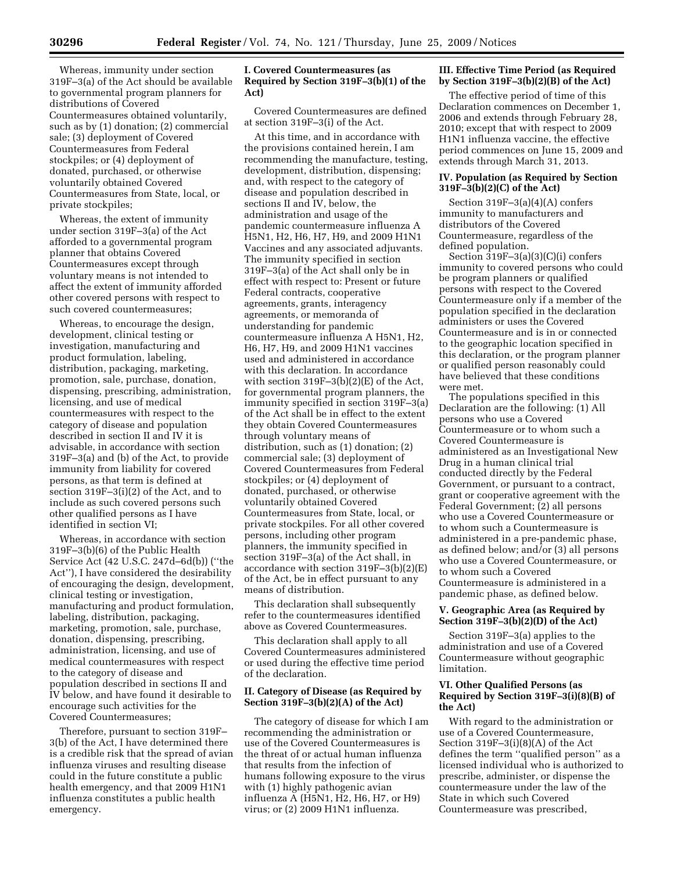Whereas, immunity under section 319F–3(a) of the Act should be available to governmental program planners for distributions of Covered Countermeasures obtained voluntarily, such as by (1) donation; (2) commercial sale; (3) deployment of Covered Countermeasures from Federal stockpiles; or (4) deployment of donated, purchased, or otherwise voluntarily obtained Covered Countermeasures from State, local, or private stockpiles;

Whereas, the extent of immunity under section 319F–3(a) of the Act afforded to a governmental program planner that obtains Covered Countermeasures except through voluntary means is not intended to affect the extent of immunity afforded other covered persons with respect to such covered countermeasures;

Whereas, to encourage the design, development, clinical testing or investigation, manufacturing and product formulation, labeling, distribution, packaging, marketing, promotion, sale, purchase, donation, dispensing, prescribing, administration, licensing, and use of medical countermeasures with respect to the category of disease and population described in section II and IV it is advisable, in accordance with section 319F–3(a) and (b) of the Act, to provide immunity from liability for covered persons, as that term is defined at section 319F–3(i)(2) of the Act, and to include as such covered persons such other qualified persons as I have identified in section VI;

Whereas, in accordance with section 319F–3(b)(6) of the Public Health Service Act (42 U.S.C. 247d–6d(b)) (''the Act''), I have considered the desirability of encouraging the design, development, clinical testing or investigation, manufacturing and product formulation, labeling, distribution, packaging, marketing, promotion, sale, purchase, donation, dispensing, prescribing, administration, licensing, and use of medical countermeasures with respect to the category of disease and population described in sections II and IV below, and have found it desirable to encourage such activities for the Covered Countermeasures;

Therefore, pursuant to section 319F– 3(b) of the Act, I have determined there is a credible risk that the spread of avian influenza viruses and resulting disease could in the future constitute a public health emergency, and that 2009 H1N1 influenza constitutes a public health emergency.

# **I. Covered Countermeasures (as Required by Section 319F–3(b)(1) of the Act)**

Covered Countermeasures are defined at section 319F–3(i) of the Act.

At this time, and in accordance with the provisions contained herein, I am recommending the manufacture, testing, development, distribution, dispensing; and, with respect to the category of disease and population described in sections II and IV, below, the administration and usage of the pandemic countermeasure influenza A H5N1, H2, H6, H7, H9, and 2009 H1N1 Vaccines and any associated adjuvants. The immunity specified in section 319F–3(a) of the Act shall only be in effect with respect to: Present or future Federal contracts, cooperative agreements, grants, interagency agreements, or memoranda of understanding for pandemic countermeasure influenza A H5N1, H2, H6, H7, H9, and 2009 H1N1 vaccines used and administered in accordance with this declaration. In accordance with section 319F–3(b)(2)(E) of the Act, for governmental program planners, the immunity specified in section 319F–3(a) of the Act shall be in effect to the extent they obtain Covered Countermeasures through voluntary means of distribution, such as (1) donation; (2) commercial sale; (3) deployment of Covered Countermeasures from Federal stockpiles; or (4) deployment of donated, purchased, or otherwise voluntarily obtained Covered Countermeasures from State, local, or private stockpiles. For all other covered persons, including other program planners, the immunity specified in section 319F–3(a) of the Act shall, in accordance with section 319F–3(b)(2)(E) of the Act, be in effect pursuant to any means of distribution.

This declaration shall subsequently refer to the countermeasures identified above as Covered Countermeasures.

This declaration shall apply to all Covered Countermeasures administered or used during the effective time period of the declaration.

## **II. Category of Disease (as Required by Section 319F–3(b)(2)(A) of the Act)**

The category of disease for which I am recommending the administration or use of the Covered Countermeasures is the threat of or actual human influenza that results from the infection of humans following exposure to the virus with (1) highly pathogenic avian influenza A (H5N1, H2, H6, H7, or H9) virus; or (2) 2009 H1N1 influenza.

## **III. Effective Time Period (as Required by Section 319F–3(b)(2)(B) of the Act)**

The effective period of time of this Declaration commences on December 1, 2006 and extends through February 28, 2010; except that with respect to 2009 H1N1 influenza vaccine, the effective period commences on June 15, 2009 and extends through March 31, 2013.

### **IV. Population (as Required by Section 319F–3(b)(2)(C) of the Act)**

Section 319F–3(a)(4)(A) confers immunity to manufacturers and distributors of the Covered Countermeasure, regardless of the defined population.

Section 319F–3(a)(3)(C)(i) confers immunity to covered persons who could be program planners or qualified persons with respect to the Covered Countermeasure only if a member of the population specified in the declaration administers or uses the Covered Countermeasure and is in or connected to the geographic location specified in this declaration, or the program planner or qualified person reasonably could have believed that these conditions were met.

The populations specified in this Declaration are the following: (1) All persons who use a Covered Countermeasure or to whom such a Covered Countermeasure is administered as an Investigational New Drug in a human clinical trial conducted directly by the Federal Government, or pursuant to a contract, grant or cooperative agreement with the Federal Government; (2) all persons who use a Covered Countermeasure or to whom such a Countermeasure is administered in a pre-pandemic phase, as defined below; and/or (3) all persons who use a Covered Countermeasure, or to whom such a Covered Countermeasure is administered in a pandemic phase, as defined below.

## **V. Geographic Area (as Required by Section 319F–3(b)(2)(D) of the Act)**

Section 319F–3(a) applies to the administration and use of a Covered Countermeasure without geographic limitation.

# **VI. Other Qualified Persons (as Required by Section 319F–3(i)(8)(B) of the Act)**

With regard to the administration or use of a Covered Countermeasure, Section 319F–3(i)(8)(A) of the Act defines the term ''qualified person'' as a licensed individual who is authorized to prescribe, administer, or dispense the countermeasure under the law of the State in which such Covered Countermeasure was prescribed,